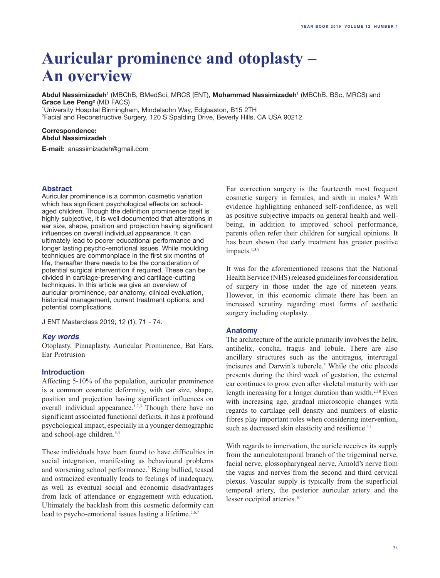# **Auricular prominence and otoplasty – An overview**

**Abdul Nassimizadeh'** (MBChB, BMedSci, MRCS (ENT), **Mohammad Nassimizadeh'** (MBChB, BSc, MRCS) and **Grace Lee Peng2** (MD FACS) 1 University Hospital Birmingham, Mindelsohn Way, Edgbaston, B15 2TH

2 Facial and Reconstructive Surgery, 120 S Spalding Drive, Beverly Hills, CA USA 90212

#### **Correspondence: Abdul Nassimizadeh**

**E-mail:** anassimizadeh@gmail.com

# **Abstract**

Auricular prominence is a common cosmetic variation which has significant psychological effects on schoolaged children. Though the definition prominence itself is highly subjective, it is well documented that alterations in ear size, shape, position and projection having significant influences on overall individual appearance. It can ultimately lead to poorer educational performance and longer lasting psycho-emotional issues. While moulding techniques are commonplace in the first six months of life, thereafter there needs to be the consideration of potential surgical intervention if required. These can be divided in cartilage-preserving and cartilage-cutting techniques. In this article we give an overview of auricular prominence, ear anatomy, clinical evaluation, historical management, current treatment options, and potential complications.

J ENT Masterclass 2019; 12 (1): 71 - 74.

# *Key words*

Otoplasty, Pinnaplasty, Auricular Prominence, Bat Ears, Ear Protrusion

# **Introduction**

Affecting 5-10% of the population, auricular prominence is a common cosmetic deformity, with ear size, shape, position and projection having significant influences on overall individual appearance.<sup>1,2,3</sup> Though there have no significant associated functional deficits, it has a profound psychological impact, especially in a younger demographic and school-age children.3,4

These individuals have been found to have difficulties in social integration, manifesting as behavioural problems and worsening school performance.3 Being bullied, teased and ostracized eventually leads to feelings of inadequacy, as well as eventual social and economic disadvantages from lack of attendance or engagement with education. Ultimately the backlash from this cosmetic deformity can lead to psycho-emotional issues lasting a lifetime.<sup>5,6,7</sup>

Ear correction surgery is the fourteenth most frequent cosmetic surgery in females, and sixth in males.<sup>8</sup> With evidence highlighting enhanced self-confidence, as well as positive subjective impacts on general health and wellbeing, in addition to improved school performance, parents often refer their children for surgical opinions. It has been shown that early treatment has greater positive impacts. $1,3,9$ 

It was for the aforementioned reasons that the National Health Service (NHS) released guidelines for consideration of surgery in those under the age of nineteen years. However, in this economic climate there has been an increased scrutiny regarding most forms of aesthetic surgery including otoplasty.

# **Anatomy**

The architecture of the auricle primarily involves the helix, antihelix, concha, tragus and lobule. There are also ancillary structures such as the antitragus, intertragal incisures and Darwin's tubercle.3 While the otic placode presents during the third week of gestation, the external ear continues to grow even after skeletal maturity with ear length increasing for a longer duration than width.<sup>2,10</sup> Even with increasing age, gradual microscopic changes with regards to cartilage cell density and numbers of elastic fibres play important roles when considering intervention, such as decreased skin elasticity and resilience.<sup>11</sup>

With regards to innervation, the auricle receives its supply from the auriculotemporal branch of the trigeminal nerve, facial nerve, glossopharyngeal nerve, Arnold's nerve from the vagus and nerves from the second and third cervical plexus. Vascular supply is typically from the superficial temporal artery, the posterior auricular artery and the lesser occipital arteries.<sup>10</sup>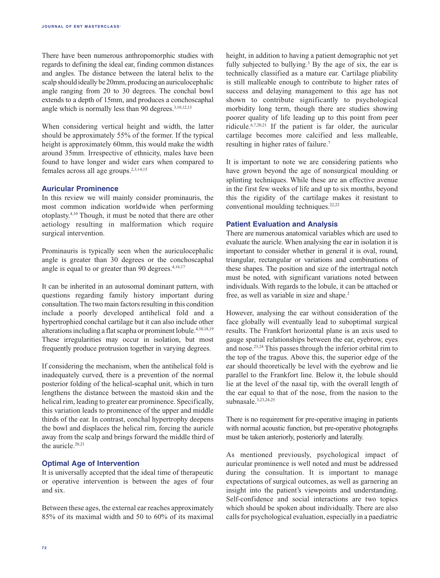There have been numerous anthropomorphic studies with regards to defining the ideal ear, finding common distances and angles. The distance between the lateral helix to the scalp should ideally be 20mm, producing an auriculocephalic angle ranging from 20 to 30 degrees. The conchal bowl extends to a depth of 15mm, and produces a conchoscaphal angle which is normally less than 90 degrees.3,10,12,13

When considering vertical height and width, the latter should be approximately 55% of the former. If the typical height is approximately 60mm, this would make the width around 35mm. Irrespective of ethnicity, males have been found to have longer and wider ears when compared to females across all age groups.2,3,14,15

# **Auricular Prominence**

In this review we will mainly consider prominauris, the most common indication worldwide when performing otoplasty.4,10 Though, it must be noted that there are other aetiology resulting in malformation which require surgical intervention.

Prominauris is typically seen when the auriculocephalic angle is greater than 30 degrees or the conchoscaphal angle is equal to or greater than 90 degrees. $4,16,17$ 

It can be inherited in an autosomal dominant pattern, with questions regarding family history important during consultation. The two main factors resulting in this condition include a poorly developed antihelical fold and a hypertrophied conchal cartilage but it can also include other alterations including a flat scapha or prominent lobule.<sup>4,10,18,19</sup> These irregularities may occur in isolation, but most frequently produce protrusion together in varying degrees.

If considering the mechanism, when the antihelical fold is inadequately curved, there is a prevention of the normal posterior folding of the helical-scaphal unit, which in turn lengthens the distance between the mastoid skin and the helical rim, leading to greater ear prominence. Specifically, this variation leads to prominence of the upper and middle thirds of the ear. In contrast, conchal hypertrophy deepens the bowl and displaces the helical rim, forcing the auricle away from the scalp and brings forward the middle third of the auricle.20,21

## **Optimal Age of Intervention**

It is universally accepted that the ideal time of therapeutic or operative intervention is between the ages of four and six.

Between these ages, the external ear reaches approximately 85% of its maximal width and 50 to 60% of its maximal height, in addition to having a patient demographic not yet fully subjected to bullying.<sup>3</sup> By the age of six, the ear is technically classified as a mature ear. Cartilage pliability is still malleable enough to contribute to higher rates of success and delaying management to this age has not shown to contribute significantly to psychological morbidity long term, though there are studies showing poorer quality of life leading up to this point from peer ridicule.6,7,20,21 If the patient is far older, the auricular cartilage becomes more calcified and less malleable, resulting in higher rates of failure.<sup>7</sup>

It is important to note we are considering patients who have grown beyond the age of nonsurgical moulding or splinting techniques. While these are an effective avenue in the first few weeks of life and up to six months, beyond this the rigidity of the cartilage makes it resistant to conventional moulding techniques.22,23

# **Patient Evaluation and Analysis**

There are numerous anatomical variables which are used to evaluate the auricle. When analysing the ear in isolation it is important to consider whether in general it is oval, round, triangular, rectangular or variations and combinations of these shapes. The position and size of the intertragal notch must be noted, with significant variations noted between individuals. With regards to the lobule, it can be attached or free, as well as variable in size and shape.<sup>2</sup>

However, analysing the ear without consideration of the face globally will eventually lead to suboptimal surgical results. The Frankfort horizontal plane is an axis used to gauge spatial relationships between the ear, eyebrow, eyes and nose.23,24 This passes through the inferior orbital rim to the top of the tragus. Above this, the superior edge of the ear should theoretically be level with the eyebrow and lie parallel to the Frankfort line. Below it, the lobule should lie at the level of the nasal tip, with the overall length of the ear equal to that of the nose, from the nasion to the subnasale.3,23,24,25

There is no requirement for pre-operative imaging in patients with normal acoustic function, but pre-operative photographs must be taken anteriorly, posteriorly and laterally.

As mentioned previously, psychological impact of auricular prominence is well noted and must be addressed during the consultation. It is important to manage expectations of surgical outcomes, as well as garnering an insight into the patient's viewpoints and understanding. Self-confidence and social interactions are two topics which should be spoken about individually. There are also calls for psychological evaluation, especially in a paediatric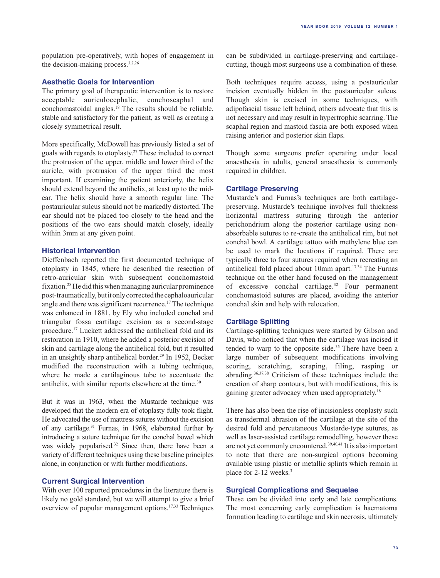population pre-operatively, with hopes of engagement in the decision-making process.3,7,26

# **Aesthetic Goals for Intervention**

The primary goal of therapeutic intervention is to restore acceptable auriculocephalic, conchoscaphal and conchomastoidal angles.18 The results should be reliable, stable and satisfactory for the patient, as well as creating a closely symmetrical result.

More specifically, McDowell has previously listed a set of goals with regards to otoplasty.27 These included to correct the protrusion of the upper, middle and lower third of the auricle, with protrusion of the upper third the most important. If examining the patient anteriorly, the helix should extend beyond the antihelix, at least up to the midear. The helix should have a smooth regular line. The postauricular sulcus should not be markedly distorted. The ear should not be placed too closely to the head and the positions of the two ears should match closely, ideally within 3mm at any given point.

# **Historical Intervention**

Dieffenbach reported the first documented technique of otoplasty in 1845, where he described the resection of retro-auricular skin with subsequent conchomastoid fixation.28 He did this when managing auricular prominence post-traumatically, but it only corrected the cephaloauricular angle and there was significant recurrence.17 The technique was enhanced in 1881, by Ely who included conchal and triangular fossa cartilage excision as a second-stage procedure.17 Luckett addressed the antihelical fold and its restoration in 1910, where he added a posterior excision of skin and cartilage along the antihelical fold, but it resulted in an unsightly sharp antihelical border.<sup>29</sup> In 1952, Becker modified the reconstruction with a tubing technique, where he made a cartilaginous tube to accentuate the antihelix, with similar reports elsewhere at the time.<sup>30</sup>

But it was in 1963, when the Mustarde technique was developed that the modern era of otoplasty fully took flight. He advocated the use of mattress sutures without the excision of any cartilage.31 Furnas, in 1968, elaborated further by introducing a suture technique for the conchal bowel which was widely popularised.<sup>32</sup> Since then, there have been a variety of different techniques using these baseline principles alone, in conjunction or with further modifications.

# **Current Surgical Intervention**

With over 100 reported procedures in the literature there is likely no gold standard, but we will attempt to give a brief overview of popular management options.17,33 Techniques

can be subdivided in cartilage-preserving and cartilagecutting, though most surgeons use a combination of these.

Both techniques require access, using a postauricular incision eventually hidden in the postauricular sulcus. Though skin is excised in some techniques, with adipofascial tissue left behind, others advocate that this is not necessary and may result in hypertrophic scarring. The scaphal region and mastoid fascia are both exposed when raising anterior and posterior skin flaps.

Though some surgeons prefer operating under local anaesthesia in adults, general anaesthesia is commonly required in children.

# **Cartilage Preserving**

Mustarde's and Furnas's techniques are both cartilagepreserving. Mustarde's technique involves full thickness horizontal mattress suturing through the anterior perichondrium along the posterior cartilage using nonabsorbable sutures to re-create the antihelical rim, but not conchal bowl. A cartilage tattoo with methylene blue can be used to mark the locations if required. There are typically three to four sutures required when recreating an antihelical fold placed about 10mm apart.17,34 The Furnas technique on the other hand focused on the management of excessive conchal cartilage.32 Four permanent conchomastoid sutures are placed, avoiding the anterior conchal skin and help with relocation.

#### **Cartilage Splitting**

Cartilage-splitting techniques were started by Gibson and Davis, who noticed that when the cartilage was incised it tended to warp to the opposite side.<sup>35</sup> There have been a large number of subsequent modifications involving scoring, scratching, scraping, filing, rasping or abrading.36,37,38 Criticism of these techniques include the creation of sharp contours, but with modifications, this is gaining greater advocacy when used appropriately.<sup>18</sup>

There has also been the rise of incisionless otoplasty such as transdermal abrasion of the cartilage at the site of the desired fold and percutaneous Mustarde-type sutures, as well as laser-assisted cartilage remodelling, however these are not yet commonly encountered.39,40,41 It is also important to note that there are non-surgical options becoming available using plastic or metallic splints which remain in place for 2-12 weeks.3

# **Surgical Complications and Sequelae**

These can be divided into early and late complications. The most concerning early complication is haematoma formation leading to cartilage and skin necrosis, ultimately